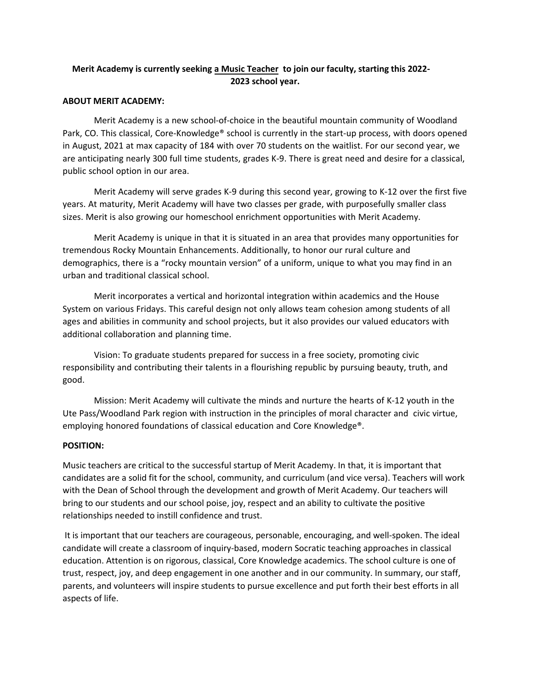# **Merit Academy is currently seeking a Music Teacher to join our faculty, starting this 2022- 2023 school year.**

### **ABOUT MERIT ACADEMY:**

Merit Academy is a new school-of-choice in the beautiful mountain community of Woodland Park, CO. This classical, Core-Knowledge® school is currently in the start-up process, with doors opened in August, 2021 at max capacity of 184 with over 70 students on the waitlist. For our second year, we are anticipating nearly 300 full time students, grades K-9. There is great need and desire for a classical, public school option in our area.

Merit Academy will serve grades K-9 during this second year, growing to K-12 over the first five years. At maturity, Merit Academy will have two classes per grade, with purposefully smaller class sizes. Merit is also growing our homeschool enrichment opportunities with Merit Academy.

Merit Academy is unique in that it is situated in an area that provides many opportunities for tremendous Rocky Mountain Enhancements. Additionally, to honor our rural culture and demographics, there is a "rocky mountain version" of a uniform, unique to what you may find in an urban and traditional classical school.

Merit incorporates a vertical and horizontal integration within academics and the House System on various Fridays. This careful design not only allows team cohesion among students of all ages and abilities in community and school projects, but it also provides our valued educators with additional collaboration and planning time.

Vision: To graduate students prepared for success in a free society, promoting civic responsibility and contributing their talents in a flourishing republic by pursuing beauty, truth, and good.

Mission: Merit Academy will cultivate the minds and nurture the hearts of K-12 youth in the Ute Pass/Woodland Park region with instruction in the principles of moral character and civic virtue, employing honored foundations of classical education and Core Knowledge®.

### **POSITION:**

Music teachers are critical to the successful startup of Merit Academy. In that, it is important that candidates are a solid fit for the school, community, and curriculum (and vice versa). Teachers will work with the Dean of School through the development and growth of Merit Academy. Our teachers will bring to our students and our school poise, joy, respect and an ability to cultivate the positive relationships needed to instill confidence and trust.

It is important that our teachers are courageous, personable, encouraging, and well-spoken. The ideal candidate will create a classroom of inquiry-based, modern Socratic teaching approaches in classical education. Attention is on rigorous, classical, Core Knowledge academics. The school culture is one of trust, respect, joy, and deep engagement in one another and in our community. In summary, our staff, parents, and volunteers will inspire students to pursue excellence and put forth their best efforts in all aspects of life.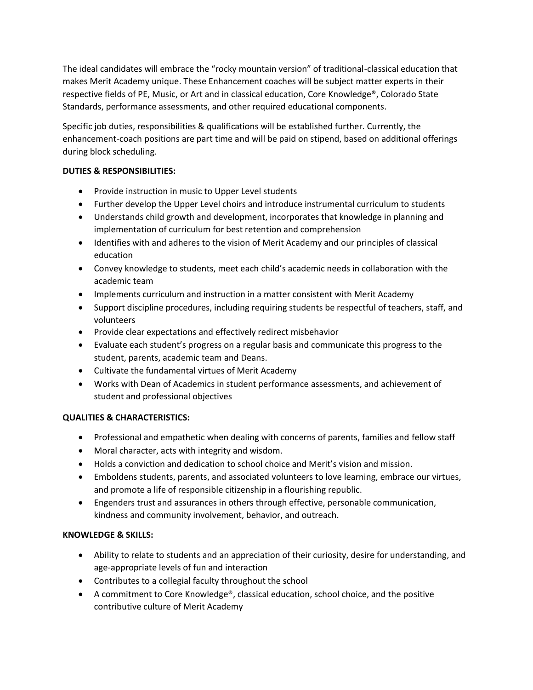The ideal candidates will embrace the "rocky mountain version" of traditional-classical education that makes Merit Academy unique. These Enhancement coaches will be subject matter experts in their respective fields of PE, Music, or Art and in classical education, Core Knowledge®, Colorado State Standards, performance assessments, and other required educational components.

Specific job duties, responsibilities & qualifications will be established further. Currently, the enhancement-coach positions are part time and will be paid on stipend, based on additional offerings during block scheduling.

## **DUTIES & RESPONSIBILITIES:**

- Provide instruction in music to Upper Level students
- Further develop the Upper Level choirs and introduce instrumental curriculum to students
- Understands child growth and development, incorporates that knowledge in planning and implementation of curriculum for best retention and comprehension
- Identifies with and adheres to the vision of Merit Academy and our principles of classical education
- Convey knowledge to students, meet each child's academic needs in collaboration with the academic team
- Implements curriculum and instruction in a matter consistent with Merit Academy
- Support discipline procedures, including requiring students be respectful of teachers, staff, and volunteers
- Provide clear expectations and effectively redirect misbehavior
- Evaluate each student's progress on a regular basis and communicate this progress to the student, parents, academic team and Deans.
- Cultivate the fundamental virtues of Merit Academy
- Works with Dean of Academics in student performance assessments, and achievement of student and professional objectives

## **QUALITIES & CHARACTERISTICS:**

- Professional and empathetic when dealing with concerns of parents, families and fellow staff
- Moral character, acts with integrity and wisdom.
- Holds a conviction and dedication to school choice and Merit's vision and mission.
- Emboldens students, parents, and associated volunteers to love learning, embrace our virtues, and promote a life of responsible citizenship in a flourishing republic.
- Engenders trust and assurances in others through effective, personable communication, kindness and community involvement, behavior, and outreach.

## **KNOWLEDGE & SKILLS:**

- Ability to relate to students and an appreciation of their curiosity, desire for understanding, and age-appropriate levels of fun and interaction
- Contributes to a collegial faculty throughout the school
- A commitment to Core Knowledge®, classical education, school choice, and the positive contributive culture of Merit Academy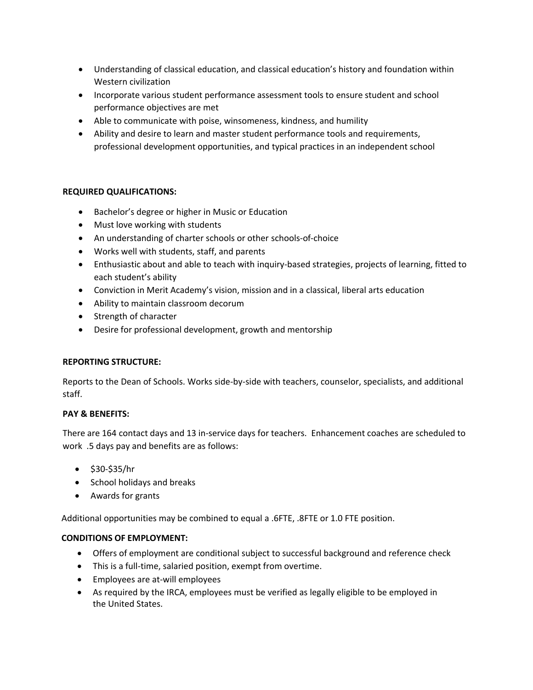- Understanding of classical education, and classical education's history and foundation within Western civilization
- Incorporate various student performance assessment tools to ensure student and school performance objectives are met
- Able to communicate with poise, winsomeness, kindness, and humility
- Ability and desire to learn and master student performance tools and requirements, professional development opportunities, and typical practices in an independent school

## **REQUIRED QUALIFICATIONS:**

- Bachelor's degree or higher in Music or Education
- Must love working with students
- An understanding of charter schools or other schools-of-choice
- Works well with students, staff, and parents
- Enthusiastic about and able to teach with inquiry-based strategies, projects of learning, fitted to each student's ability
- Conviction in Merit Academy's vision, mission and in a classical, liberal arts education
- Ability to maintain classroom decorum
- Strength of character
- Desire for professional development, growth and mentorship

### **REPORTING STRUCTURE:**

Reports to the Dean of Schools. Works side-by-side with teachers, counselor, specialists, and additional staff.

### **PAY & BENEFITS:**

There are 164 contact days and 13 in-service days for teachers. Enhancement coaches are scheduled to work .5 days pay and benefits are as follows:

- \$30-\$35/hr
- School holidays and breaks
- Awards for grants

Additional opportunities may be combined to equal a .6FTE, .8FTE or 1.0 FTE position.

### **CONDITIONS OF EMPLOYMENT:**

- Offers of employment are conditional subject to successful background and reference check
- This is a full-time, salaried position, exempt from overtime.
- Employees are at-will employees
- As required by the IRCA, employees must be verified as legally eligible to be employed in the United States.